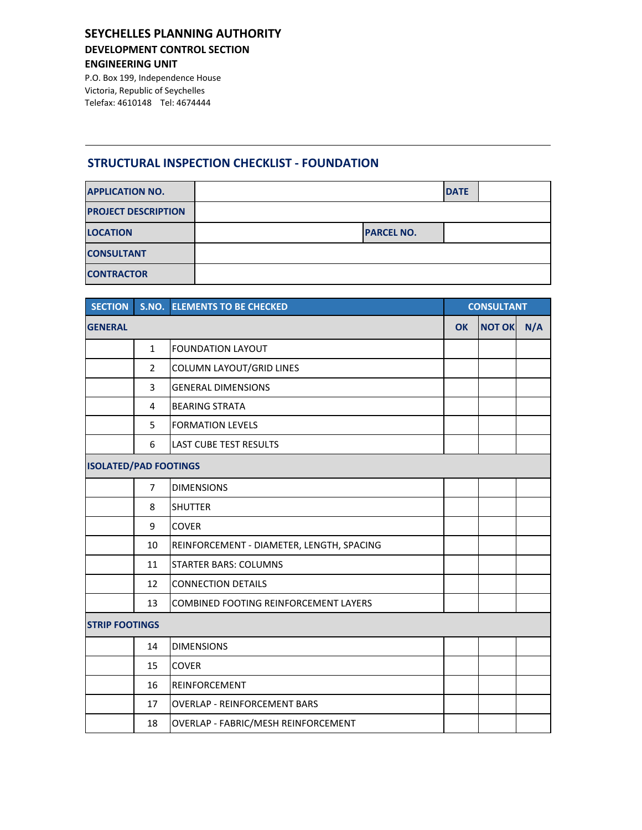## **SEYCHELLES PLANNING AUTHORITY DEVELOPMENT CONTROL SECTION**

**ENGINEERING UNIT**

P.O. Box 199, Independence House Victoria, Republic of Seychelles Telefax: 4610148 Tel: 4674444

### **STRUCTURAL INSPECTION CHECKLIST - FOUNDATION**

| <b>APPLICATION NO.</b>     |                   | <b>DATE</b> |  |
|----------------------------|-------------------|-------------|--|
| <b>PROJECT DESCRIPTION</b> |                   |             |  |
| <b>LOCATION</b>            | <b>PARCEL NO.</b> |             |  |
| <b>CONSULTANT</b>          |                   |             |  |
| <b>CONTRACTOR</b>          |                   |             |  |

| <b>SECTION</b>               |                       | <b>S.NO. ELEMENTS TO BE CHECKED</b>          | <b>CONSULTANT</b> |     |  |  |
|------------------------------|-----------------------|----------------------------------------------|-------------------|-----|--|--|
| <b>GENERAL</b>               |                       | <b>OK</b>                                    | <b>NOT OK</b>     | N/A |  |  |
|                              | $\mathbf{1}$          | <b>FOUNDATION LAYOUT</b>                     |                   |     |  |  |
|                              | 2                     | COLUMN LAYOUT/GRID LINES                     |                   |     |  |  |
|                              | 3                     | <b>GENERAL DIMENSIONS</b>                    |                   |     |  |  |
|                              | 4                     | <b>BEARING STRATA</b>                        |                   |     |  |  |
|                              | 5                     | <b>FORMATION LEVELS</b>                      |                   |     |  |  |
|                              | 6                     | <b>LAST CUBE TEST RESULTS</b>                |                   |     |  |  |
| <b>ISOLATED/PAD FOOTINGS</b> |                       |                                              |                   |     |  |  |
|                              | $\overline{7}$        | <b>DIMENSIONS</b>                            |                   |     |  |  |
|                              | 8                     | <b>SHUTTER</b>                               |                   |     |  |  |
|                              | 9                     | <b>COVER</b>                                 |                   |     |  |  |
|                              | 10                    | REINFORCEMENT - DIAMETER, LENGTH, SPACING    |                   |     |  |  |
|                              | 11                    | <b>STARTER BARS: COLUMNS</b>                 |                   |     |  |  |
|                              | 12                    | <b>CONNECTION DETAILS</b>                    |                   |     |  |  |
|                              | 13                    | <b>COMBINED FOOTING REINFORCEMENT LAYERS</b> |                   |     |  |  |
|                              | <b>STRIP FOOTINGS</b> |                                              |                   |     |  |  |
|                              | 14                    | <b>DIMENSIONS</b>                            |                   |     |  |  |
|                              | 15                    | <b>COVER</b>                                 |                   |     |  |  |
|                              | 16                    | REINFORCEMENT                                |                   |     |  |  |
|                              | 17                    | <b>OVERLAP - REINFORCEMENT BARS</b>          |                   |     |  |  |
|                              | 18                    | OVERLAP - FABRIC/MESH REINFORCEMENT          |                   |     |  |  |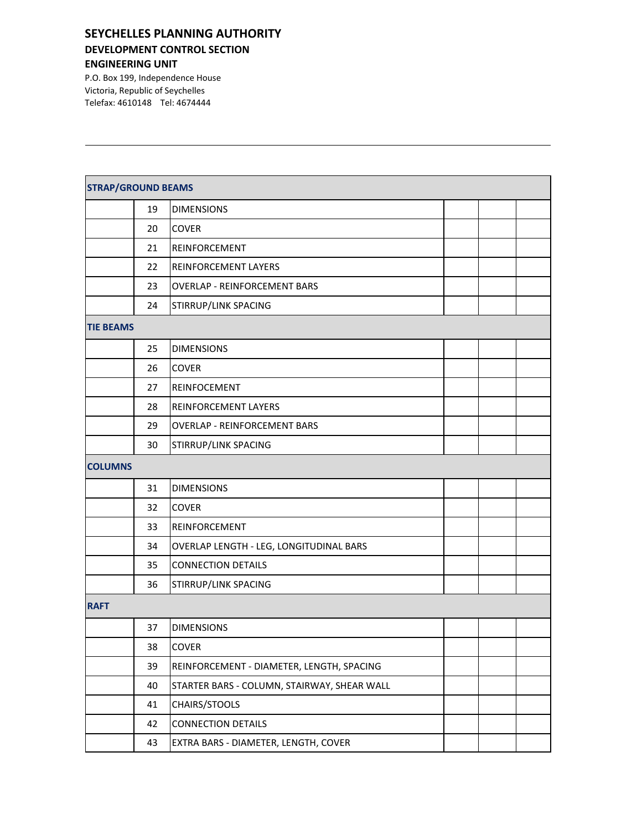## **SEYCHELLES PLANNING AUTHORITY DEVELOPMENT CONTROL SECTION**

#### **ENGINEERING UNIT**

P.O. Box 199, Independence House Victoria, Republic of Seychelles Telefax: 4610148 Tel: 4674444

| <b>STRAP/GROUND BEAMS</b> |    |                                             |  |  |  |  |
|---------------------------|----|---------------------------------------------|--|--|--|--|
|                           | 19 | <b>DIMENSIONS</b>                           |  |  |  |  |
|                           | 20 | <b>COVER</b>                                |  |  |  |  |
|                           | 21 | REINFORCEMENT                               |  |  |  |  |
|                           | 22 | REINFORCEMENT LAYERS                        |  |  |  |  |
|                           | 23 | <b>OVERLAP - REINFORCEMENT BARS</b>         |  |  |  |  |
|                           | 24 | STIRRUP/LINK SPACING                        |  |  |  |  |
| <b>TIE BEAMS</b>          |    |                                             |  |  |  |  |
|                           | 25 | <b>DIMENSIONS</b>                           |  |  |  |  |
|                           | 26 | <b>COVER</b>                                |  |  |  |  |
|                           | 27 | REINFOCEMENT                                |  |  |  |  |
|                           | 28 | REINFORCEMENT LAYERS                        |  |  |  |  |
|                           | 29 | <b>OVERLAP - REINFORCEMENT BARS</b>         |  |  |  |  |
|                           | 30 | STIRRUP/LINK SPACING                        |  |  |  |  |
| <b>COLUMNS</b>            |    |                                             |  |  |  |  |
|                           | 31 | <b>DIMENSIONS</b>                           |  |  |  |  |
|                           | 32 | <b>COVER</b>                                |  |  |  |  |
|                           | 33 | REINFORCEMENT                               |  |  |  |  |
|                           | 34 | OVERLAP LENGTH - LEG, LONGITUDINAL BARS     |  |  |  |  |
|                           | 35 | <b>CONNECTION DETAILS</b>                   |  |  |  |  |
|                           | 36 | STIRRUP/LINK SPACING                        |  |  |  |  |
| <b>RAFT</b>               |    |                                             |  |  |  |  |
|                           | 37 | <b>DIMENSIONS</b>                           |  |  |  |  |
|                           | 38 | COVER                                       |  |  |  |  |
|                           | 39 | REINFORCEMENT - DIAMETER, LENGTH, SPACING   |  |  |  |  |
|                           | 40 | STARTER BARS - COLUMN, STAIRWAY, SHEAR WALL |  |  |  |  |
|                           | 41 | CHAIRS/STOOLS                               |  |  |  |  |
|                           | 42 | <b>CONNECTION DETAILS</b>                   |  |  |  |  |
|                           | 43 | EXTRA BARS - DIAMETER, LENGTH, COVER        |  |  |  |  |